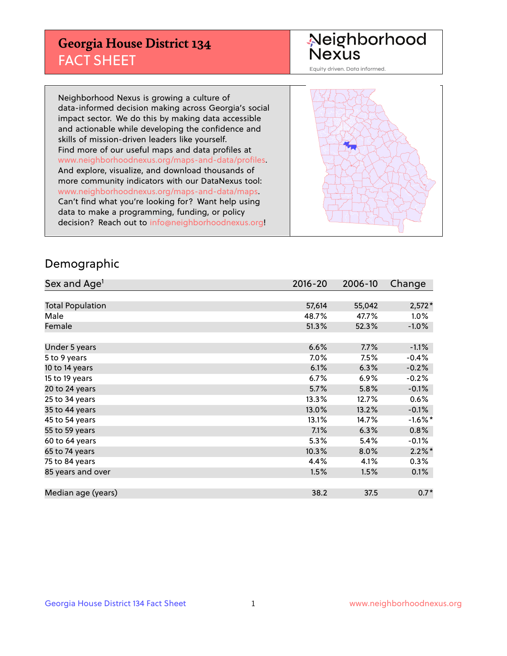## **Georgia House District 134** FACT SHEET

# Neighborhood<br>Nexus

Equity driven. Data informed.

Neighborhood Nexus is growing a culture of data-informed decision making across Georgia's social impact sector. We do this by making data accessible and actionable while developing the confidence and skills of mission-driven leaders like yourself. Find more of our useful maps and data profiles at www.neighborhoodnexus.org/maps-and-data/profiles. And explore, visualize, and download thousands of more community indicators with our DataNexus tool: www.neighborhoodnexus.org/maps-and-data/maps. Can't find what you're looking for? Want help using data to make a programming, funding, or policy decision? Reach out to [info@neighborhoodnexus.org!](mailto:info@neighborhoodnexus.org)



### Demographic

| Sex and Age <sup>1</sup> | $2016 - 20$ | 2006-10 | Change    |
|--------------------------|-------------|---------|-----------|
|                          |             |         |           |
| <b>Total Population</b>  | 57,614      | 55,042  | $2,572*$  |
| Male                     | 48.7%       | 47.7%   | 1.0%      |
| Female                   | 51.3%       | 52.3%   | $-1.0\%$  |
|                          |             |         |           |
| Under 5 years            | 6.6%        | 7.7%    | $-1.1%$   |
| 5 to 9 years             | 7.0%        | 7.5%    | $-0.4%$   |
| 10 to 14 years           | 6.1%        | 6.3%    | $-0.2%$   |
| 15 to 19 years           | 6.7%        | 6.9%    | $-0.2%$   |
| 20 to 24 years           | 5.7%        | 5.8%    | $-0.1%$   |
| 25 to 34 years           | 13.3%       | 12.7%   | 0.6%      |
| 35 to 44 years           | 13.0%       | 13.2%   | $-0.1%$   |
| 45 to 54 years           | 13.1%       | 14.7%   | $-1.6%$ * |
| 55 to 59 years           | 7.1%        | 6.3%    | 0.8%      |
| 60 to 64 years           | 5.3%        | 5.4%    | $-0.1\%$  |
| 65 to 74 years           | 10.3%       | 8.0%    | $2.2\%$ * |
| 75 to 84 years           | 4.4%        | 4.1%    | 0.3%      |
| 85 years and over        | 1.5%        | 1.5%    | 0.1%      |
|                          |             |         |           |
| Median age (years)       | 38.2        | 37.5    | $0.7*$    |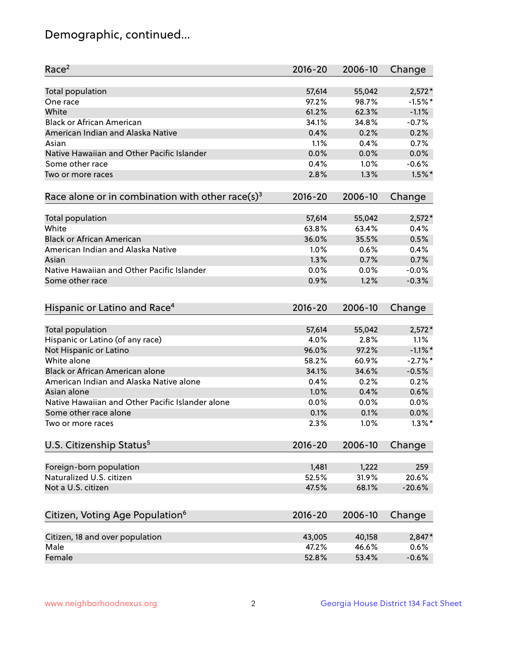## Demographic, continued...

| Race <sup>2</sup>                                            | $2016 - 20$ | 2006-10 | Change     |
|--------------------------------------------------------------|-------------|---------|------------|
| <b>Total population</b>                                      | 57,614      | 55,042  | $2,572*$   |
| One race                                                     | 97.2%       | 98.7%   | $-1.5%$ *  |
| White                                                        | 61.2%       | 62.3%   | $-1.1%$    |
| <b>Black or African American</b>                             | 34.1%       | 34.8%   | $-0.7%$    |
| American Indian and Alaska Native                            | 0.4%        | 0.2%    | 0.2%       |
| Asian                                                        | 1.1%        | 0.4%    | 0.7%       |
| Native Hawaiian and Other Pacific Islander                   | 0.0%        | 0.0%    | 0.0%       |
| Some other race                                              | 0.4%        | 1.0%    | $-0.6%$    |
| Two or more races                                            | 2.8%        | 1.3%    | $1.5\%$ *  |
| Race alone or in combination with other race(s) <sup>3</sup> | $2016 - 20$ | 2006-10 | Change     |
|                                                              |             |         |            |
| Total population                                             | 57,614      | 55,042  | $2,572*$   |
| White                                                        | 63.8%       | 63.4%   | 0.4%       |
| <b>Black or African American</b>                             | 36.0%       | 35.5%   | 0.5%       |
| American Indian and Alaska Native                            | 1.0%        | 0.6%    | 0.4%       |
| Asian                                                        | 1.3%        | 0.7%    | 0.7%       |
| Native Hawaiian and Other Pacific Islander                   | 0.0%        | 0.0%    | $-0.0%$    |
| Some other race                                              | 0.9%        | 1.2%    | $-0.3%$    |
| Hispanic or Latino and Race <sup>4</sup>                     | $2016 - 20$ | 2006-10 | Change     |
| <b>Total population</b>                                      | 57,614      | 55,042  | $2,572*$   |
| Hispanic or Latino (of any race)                             | 4.0%        | 2.8%    | 1.1%       |
| Not Hispanic or Latino                                       | 96.0%       | 97.2%   | $-1.1\%$ * |
| White alone                                                  | 58.2%       | 60.9%   | $-2.7%$ *  |
| Black or African American alone                              | 34.1%       | 34.6%   | $-0.5%$    |
| American Indian and Alaska Native alone                      | 0.4%        | 0.2%    | 0.2%       |
| Asian alone                                                  | 1.0%        | 0.4%    | 0.6%       |
| Native Hawaiian and Other Pacific Islander alone             |             |         |            |
|                                                              | 0.0%        | 0.0%    | 0.0%       |
| Some other race alone                                        | 0.1%        | 0.1%    | 0.0%       |
| Two or more races                                            | 2.3%        | 1.0%    | $1.3\%$ *  |
| U.S. Citizenship Status <sup>5</sup>                         | $2016 - 20$ | 2006-10 | Change     |
| Foreign-born population                                      | 1,481       | 1,222   | 259        |
| Naturalized U.S. citizen                                     | 52.5%       | 31.9%   | 20.6%      |
| Not a U.S. citizen                                           | 47.5%       | 68.1%   | $-20.6%$   |
|                                                              |             |         |            |
| Citizen, Voting Age Population <sup>6</sup>                  | 2016-20     | 2006-10 | Change     |
| Citizen, 18 and over population                              | 43,005      | 40,158  | 2,847*     |
| Male                                                         | 47.2%       | 46.6%   | 0.6%       |
| Female                                                       | 52.8%       | 53.4%   | $-0.6%$    |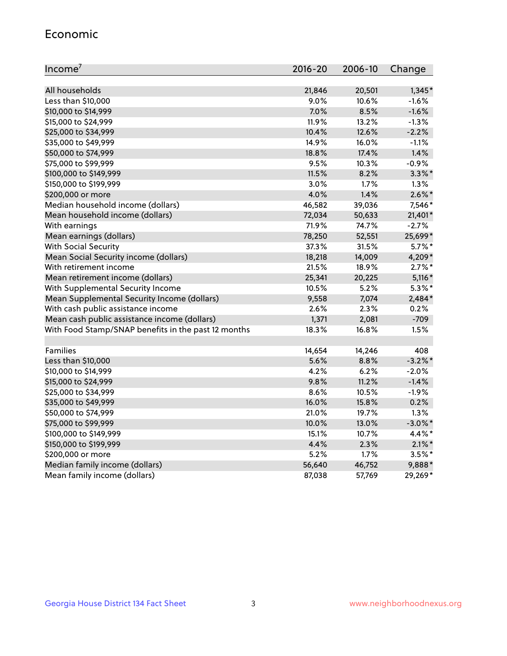#### Economic

| Income <sup>7</sup>                                 | $2016 - 20$ | 2006-10 | Change     |
|-----------------------------------------------------|-------------|---------|------------|
|                                                     |             |         |            |
| All households                                      | 21,846      | 20,501  | $1,345*$   |
| Less than \$10,000                                  | 9.0%        | 10.6%   | $-1.6%$    |
| \$10,000 to \$14,999                                | 7.0%        | 8.5%    | $-1.6%$    |
| \$15,000 to \$24,999                                | 11.9%       | 13.2%   | $-1.3%$    |
| \$25,000 to \$34,999                                | 10.4%       | 12.6%   | $-2.2%$    |
| \$35,000 to \$49,999                                | 14.9%       | 16.0%   | $-1.1%$    |
| \$50,000 to \$74,999                                | 18.8%       | 17.4%   | 1.4%       |
| \$75,000 to \$99,999                                | 9.5%        | 10.3%   | $-0.9%$    |
| \$100,000 to \$149,999                              | 11.5%       | 8.2%    | $3.3\%$ *  |
| \$150,000 to \$199,999                              | 3.0%        | 1.7%    | 1.3%       |
| \$200,000 or more                                   | 4.0%        | 1.4%    | $2.6\%$ *  |
| Median household income (dollars)                   | 46,582      | 39,036  | 7,546*     |
| Mean household income (dollars)                     | 72,034      | 50,633  | 21,401*    |
| With earnings                                       | 71.9%       | 74.7%   | $-2.7%$    |
| Mean earnings (dollars)                             | 78,250      | 52,551  | 25,699*    |
| <b>With Social Security</b>                         | 37.3%       | 31.5%   | $5.7\%$ *  |
| Mean Social Security income (dollars)               | 18,218      | 14,009  | 4,209*     |
| With retirement income                              | 21.5%       | 18.9%   | $2.7\%$ *  |
| Mean retirement income (dollars)                    | 25,341      | 20,225  | $5,116*$   |
| With Supplemental Security Income                   | 10.5%       | 5.2%    | $5.3\%$ *  |
| Mean Supplemental Security Income (dollars)         | 9,558       | 7,074   | 2,484*     |
| With cash public assistance income                  | 2.6%        | 2.3%    | 0.2%       |
| Mean cash public assistance income (dollars)        | 1,371       | 2,081   | $-709$     |
| With Food Stamp/SNAP benefits in the past 12 months | 18.3%       | 16.8%   | 1.5%       |
|                                                     |             |         |            |
| Families                                            | 14,654      | 14,246  | 408        |
| Less than \$10,000                                  | 5.6%        | 8.8%    | $-3.2\%$ * |
| \$10,000 to \$14,999                                | 4.2%        | 6.2%    | $-2.0%$    |
| \$15,000 to \$24,999                                | 9.8%        | 11.2%   | $-1.4%$    |
| \$25,000 to \$34,999                                | 8.6%        | 10.5%   | $-1.9%$    |
| \$35,000 to \$49,999                                | 16.0%       | 15.8%   | 0.2%       |
| \$50,000 to \$74,999                                | 21.0%       | 19.7%   | 1.3%       |
| \$75,000 to \$99,999                                | 10.0%       | 13.0%   | $-3.0\%$ * |
| \$100,000 to \$149,999                              | 15.1%       | 10.7%   | 4.4%*      |
| \$150,000 to \$199,999                              | 4.4%        | 2.3%    | $2.1\%$ *  |
| \$200,000 or more                                   | 5.2%        | 1.7%    | $3.5%$ *   |
| Median family income (dollars)                      | 56,640      | 46,752  | 9,888*     |
| Mean family income (dollars)                        | 87,038      | 57,769  | 29,269*    |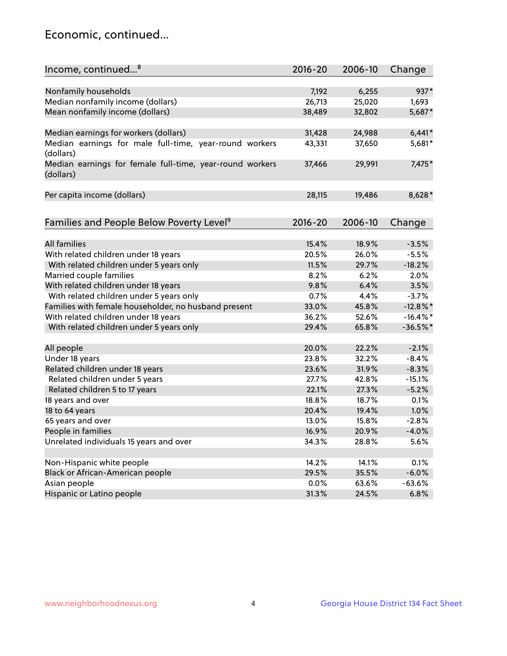## Economic, continued...

| Income, continued <sup>8</sup>                                        | $2016 - 20$ | 2006-10 | Change      |
|-----------------------------------------------------------------------|-------------|---------|-------------|
|                                                                       |             |         |             |
| Nonfamily households                                                  | 7,192       | 6,255   | 937*        |
| Median nonfamily income (dollars)                                     | 26,713      | 25,020  | 1,693       |
| Mean nonfamily income (dollars)                                       | 38,489      | 32,802  | 5,687*      |
| Median earnings for workers (dollars)                                 | 31,428      | 24,988  | $6,441*$    |
| Median earnings for male full-time, year-round workers                | 43,331      | 37,650  | 5,681*      |
| (dollars)                                                             |             |         |             |
| Median earnings for female full-time, year-round workers<br>(dollars) | 37,466      | 29,991  | 7,475*      |
| Per capita income (dollars)                                           | 28,115      | 19,486  | 8,628*      |
|                                                                       |             |         |             |
| Families and People Below Poverty Level <sup>9</sup>                  | 2016-20     | 2006-10 | Change      |
|                                                                       |             |         |             |
| <b>All families</b>                                                   | 15.4%       | 18.9%   | $-3.5%$     |
| With related children under 18 years                                  | 20.5%       | 26.0%   | $-5.5%$     |
| With related children under 5 years only                              | 11.5%       | 29.7%   | $-18.2%$    |
| Married couple families                                               | 8.2%        | 6.2%    | 2.0%        |
| With related children under 18 years                                  | 9.8%        | 6.4%    | 3.5%        |
| With related children under 5 years only                              | 0.7%        | 4.4%    | $-3.7%$     |
| Families with female householder, no husband present                  | 33.0%       | 45.8%   | $-12.8\%$ * |
| With related children under 18 years                                  | 36.2%       | 52.6%   | $-16.4\%$ * |
| With related children under 5 years only                              | 29.4%       | 65.8%   | $-36.5%$    |
| All people                                                            | 20.0%       | 22.2%   | $-2.1%$     |
| Under 18 years                                                        | 23.8%       | 32.2%   | $-8.4%$     |
| Related children under 18 years                                       | 23.6%       | 31.9%   | $-8.3%$     |
| Related children under 5 years                                        | 27.7%       | 42.8%   | $-15.1%$    |
| Related children 5 to 17 years                                        | 22.1%       | 27.3%   | $-5.2%$     |
| 18 years and over                                                     | 18.8%       | 18.7%   | 0.1%        |
| 18 to 64 years                                                        | 20.4%       | 19.4%   | 1.0%        |
| 65 years and over                                                     | 13.0%       | 15.8%   | $-2.8%$     |
| People in families                                                    | 16.9%       | 20.9%   | $-4.0%$     |
| Unrelated individuals 15 years and over                               | 34.3%       | 28.8%   | 5.6%        |
|                                                                       |             |         |             |
| Non-Hispanic white people                                             | 14.2%       | 14.1%   | 0.1%        |
| Black or African-American people                                      | 29.5%       | 35.5%   | $-6.0%$     |
| Asian people                                                          | $0.0\%$     | 63.6%   | $-63.6%$    |
| Hispanic or Latino people                                             | 31.3%       | 24.5%   | 6.8%        |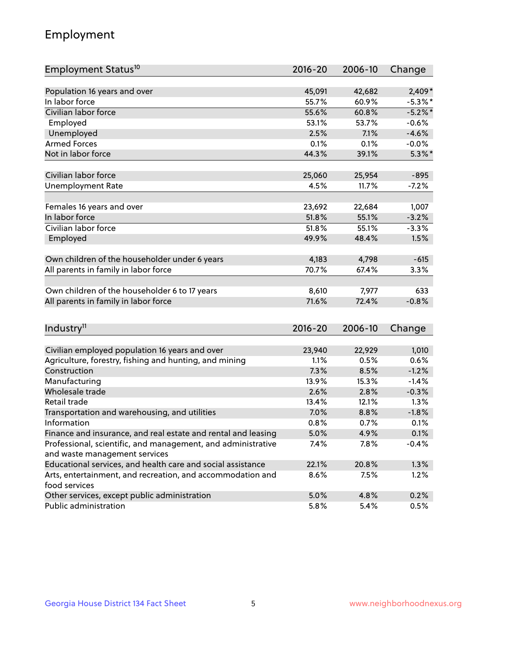## Employment

| Employment Status <sup>10</sup>                                             | $2016 - 20$ | 2006-10 | Change         |
|-----------------------------------------------------------------------------|-------------|---------|----------------|
|                                                                             |             |         |                |
| Population 16 years and over                                                | 45,091      | 42,682  | $2,409*$       |
| In labor force                                                              | 55.7%       | 60.9%   | $-5.3\%$ *     |
| Civilian labor force                                                        | 55.6%       | 60.8%   | $-5.2%$ *      |
| Employed                                                                    | 53.1%       | 53.7%   | $-0.6%$        |
| Unemployed                                                                  | 2.5%        | 7.1%    | $-4.6%$        |
| <b>Armed Forces</b>                                                         | 0.1%        | 0.1%    | $-0.0%$        |
| Not in labor force                                                          | 44.3%       | 39.1%   | $5.3\%$ *      |
| Civilian labor force                                                        | 25,060      | 25,954  | $-895$         |
| <b>Unemployment Rate</b>                                                    | 4.5%        | 11.7%   | $-7.2%$        |
|                                                                             |             |         |                |
| Females 16 years and over                                                   | 23,692      | 22,684  | 1,007          |
| In labor force                                                              | 51.8%       | 55.1%   | $-3.2%$        |
| Civilian labor force                                                        | 51.8%       | 55.1%   | $-3.3%$        |
| Employed                                                                    | 49.9%       | 48.4%   | 1.5%           |
|                                                                             | 4,183       | 4,798   |                |
| Own children of the householder under 6 years                               | 70.7%       |         | $-615$<br>3.3% |
| All parents in family in labor force                                        |             | 67.4%   |                |
| Own children of the householder 6 to 17 years                               | 8,610       | 7,977   | 633            |
| All parents in family in labor force                                        | 71.6%       | 72.4%   | $-0.8%$        |
|                                                                             |             |         |                |
| Industry <sup>11</sup>                                                      | $2016 - 20$ | 2006-10 | Change         |
|                                                                             |             |         |                |
| Civilian employed population 16 years and over                              | 23,940      | 22,929  | 1,010          |
| Agriculture, forestry, fishing and hunting, and mining                      | 1.1%        | 0.5%    | 0.6%           |
| Construction                                                                | 7.3%        | 8.5%    | $-1.2%$        |
| Manufacturing                                                               | 13.9%       | 15.3%   | $-1.4%$        |
| Wholesale trade                                                             | 2.6%        | 2.8%    | $-0.3%$        |
| Retail trade                                                                | 13.4%       | 12.1%   | 1.3%           |
| Transportation and warehousing, and utilities                               | 7.0%        | 8.8%    | $-1.8%$        |
| Information                                                                 | 0.8%        | 0.7%    | 0.1%           |
| Finance and insurance, and real estate and rental and leasing               | 5.0%        | 4.9%    | 0.1%           |
| Professional, scientific, and management, and administrative                | 7.4%        | 7.8%    | $-0.4%$        |
| and waste management services                                               |             |         |                |
| Educational services, and health care and social assistance                 | 22.1%       | 20.8%   | 1.3%           |
| Arts, entertainment, and recreation, and accommodation and<br>food services | 8.6%        | 7.5%    | 1.2%           |
| Other services, except public administration                                | 5.0%        | 4.8%    | 0.2%           |
| Public administration                                                       | 5.8%        | 5.4%    | 0.5%           |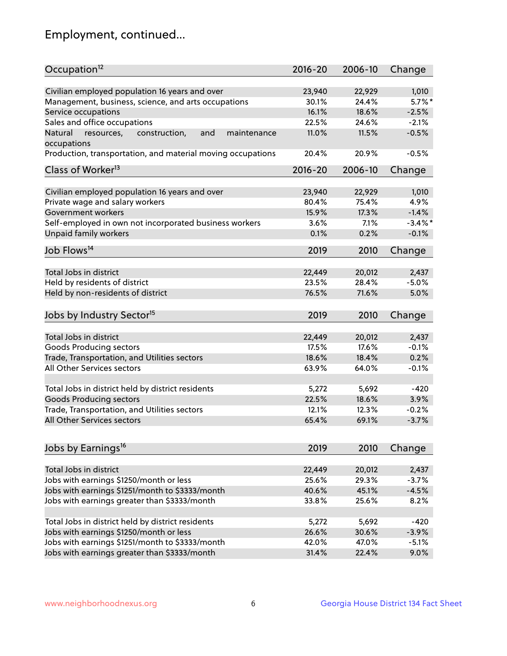## Employment, continued...

| Occupation <sup>12</sup>                                                    | $2016 - 20$    | 2006-10 | Change             |
|-----------------------------------------------------------------------------|----------------|---------|--------------------|
| Civilian employed population 16 years and over                              |                | 22,929  |                    |
|                                                                             | 23,940         |         | 1,010<br>$5.7\%$ * |
| Management, business, science, and arts occupations                         | 30.1%<br>16.1% | 24.4%   | $-2.5%$            |
| Service occupations                                                         |                | 18.6%   |                    |
| Sales and office occupations                                                | 22.5%          | 24.6%   | $-2.1%$            |
| Natural<br>and<br>resources,<br>construction,<br>maintenance<br>occupations | 11.0%          | 11.5%   | $-0.5%$            |
| Production, transportation, and material moving occupations                 | 20.4%          | 20.9%   | $-0.5%$            |
| Class of Worker <sup>13</sup>                                               | 2016-20        | 2006-10 | Change             |
|                                                                             |                |         |                    |
| Civilian employed population 16 years and over                              | 23,940         | 22,929  | 1,010              |
| Private wage and salary workers                                             | 80.4%          | 75.4%   | 4.9%               |
| Government workers                                                          | 15.9%          | 17.3%   | $-1.4%$            |
| Self-employed in own not incorporated business workers                      | 3.6%           | 7.1%    | $-3.4\%$ *         |
| Unpaid family workers                                                       | 0.1%           | 0.2%    | $-0.1%$            |
| Job Flows <sup>14</sup>                                                     | 2019           | 2010    | Change             |
|                                                                             |                |         |                    |
| Total Jobs in district                                                      | 22,449         | 20,012  | 2,437              |
| Held by residents of district                                               | 23.5%          | 28.4%   | $-5.0%$            |
| Held by non-residents of district                                           | 76.5%          | 71.6%   | 5.0%               |
|                                                                             |                |         |                    |
| Jobs by Industry Sector <sup>15</sup>                                       | 2019           | 2010    | Change             |
| Total Jobs in district                                                      | 22,449         | 20,012  | 2,437              |
| Goods Producing sectors                                                     | 17.5%          | 17.6%   | $-0.1%$            |
| Trade, Transportation, and Utilities sectors                                | 18.6%          | 18.4%   | 0.2%               |
| All Other Services sectors                                                  | 63.9%          | 64.0%   | $-0.1%$            |
|                                                                             |                |         |                    |
| Total Jobs in district held by district residents                           | 5,272          | 5,692   | $-420$             |
| <b>Goods Producing sectors</b>                                              | 22.5%          | 18.6%   | 3.9%               |
| Trade, Transportation, and Utilities sectors                                | 12.1%          | 12.3%   | $-0.2%$            |
| All Other Services sectors                                                  | 65.4%          | 69.1%   | $-3.7%$            |
|                                                                             |                |         |                    |
| Jobs by Earnings <sup>16</sup>                                              | 2019           | 2010    | Change             |
|                                                                             |                |         |                    |
| Total Jobs in district                                                      | 22,449         | 20,012  | 2,437              |
| Jobs with earnings \$1250/month or less                                     | 25.6%          | 29.3%   | $-3.7%$            |
| Jobs with earnings \$1251/month to \$3333/month                             | 40.6%          | 45.1%   | $-4.5%$            |
| Jobs with earnings greater than \$3333/month                                | 33.8%          | 25.6%   | 8.2%               |
|                                                                             |                |         |                    |
| Total Jobs in district held by district residents                           | 5,272          | 5,692   | $-420$             |
| Jobs with earnings \$1250/month or less                                     | 26.6%          | 30.6%   | $-3.9%$            |
| Jobs with earnings \$1251/month to \$3333/month                             | 42.0%          | 47.0%   | $-5.1%$            |
| Jobs with earnings greater than \$3333/month                                | 31.4%          | 22.4%   | 9.0%               |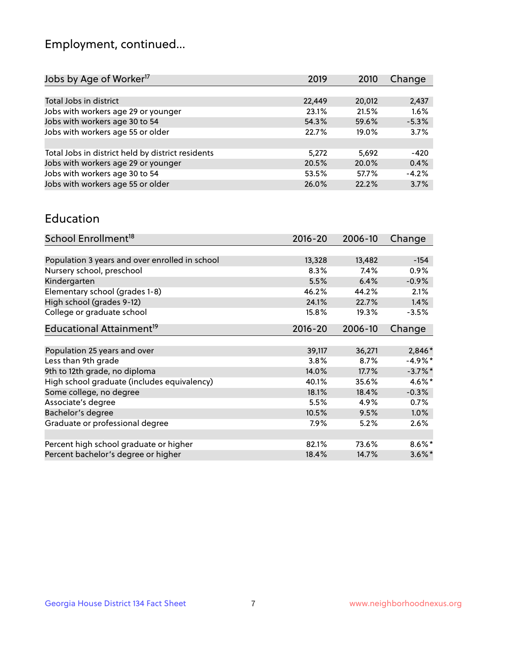## Employment, continued...

| Jobs by Age of Worker <sup>17</sup>               | 2019   | 2010   | Change  |
|---------------------------------------------------|--------|--------|---------|
|                                                   |        |        |         |
| Total Jobs in district                            | 22,449 | 20,012 | 2,437   |
| Jobs with workers age 29 or younger               | 23.1%  | 21.5%  | 1.6%    |
| Jobs with workers age 30 to 54                    | 54.3%  | 59.6%  | $-5.3%$ |
| Jobs with workers age 55 or older                 | 22.7%  | 19.0%  | 3.7%    |
|                                                   |        |        |         |
| Total Jobs in district held by district residents | 5,272  | 5,692  | $-420$  |
| Jobs with workers age 29 or younger               | 20.5%  | 20.0%  | 0.4%    |
| Jobs with workers age 30 to 54                    | 53.5%  | 57.7%  | $-4.2%$ |
| Jobs with workers age 55 or older                 | 26.0%  | 22.2%  | 3.7%    |
|                                                   |        |        |         |

#### Education

| School Enrollment <sup>18</sup>                | $2016 - 20$ | 2006-10 | Change     |
|------------------------------------------------|-------------|---------|------------|
|                                                |             |         |            |
| Population 3 years and over enrolled in school | 13,328      | 13,482  | $-154$     |
| Nursery school, preschool                      | 8.3%        | 7.4%    | $0.9\%$    |
| Kindergarten                                   | 5.5%        | 6.4%    | $-0.9%$    |
| Elementary school (grades 1-8)                 | 46.2%       | 44.2%   | 2.1%       |
| High school (grades 9-12)                      | 24.1%       | 22.7%   | 1.4%       |
| College or graduate school                     | 15.8%       | 19.3%   | $-3.5%$    |
| Educational Attainment <sup>19</sup>           | $2016 - 20$ | 2006-10 | Change     |
|                                                |             |         |            |
| Population 25 years and over                   | 39,117      | 36,271  | 2,846*     |
| Less than 9th grade                            | 3.8%        | 8.7%    | $-4.9%$ *  |
| 9th to 12th grade, no diploma                  | 14.0%       | 17.7%   | $-3.7\%$ * |
| High school graduate (includes equivalency)    | 40.1%       | 35.6%   | $4.6\%$ *  |
| Some college, no degree                        | 18.1%       | 18.4%   | $-0.3%$    |
| Associate's degree                             | 5.5%        | 4.9%    | 0.7%       |
| Bachelor's degree                              | 10.5%       | 9.5%    | 1.0%       |
| Graduate or professional degree                | 7.9%        | 5.2%    | 2.6%       |
|                                                |             |         |            |
| Percent high school graduate or higher         | 82.1%       | 73.6%   | $8.6\%$ *  |
| Percent bachelor's degree or higher            | 18.4%       | 14.7%   | $3.6\%$ *  |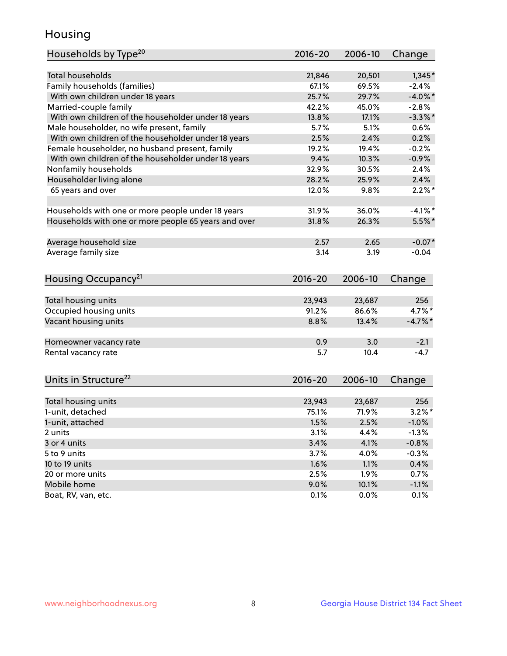## Housing

| Households by Type <sup>20</sup>                     | 2016-20      | 2006-10       | Change          |
|------------------------------------------------------|--------------|---------------|-----------------|
|                                                      |              |               |                 |
| <b>Total households</b>                              | 21,846       | 20,501        | $1,345*$        |
| Family households (families)                         | 67.1%        | 69.5%         | $-2.4%$         |
| With own children under 18 years                     | 25.7%        | 29.7%         | $-4.0\%$ *      |
| Married-couple family                                | 42.2%        | 45.0%         | $-2.8%$         |
| With own children of the householder under 18 years  | 13.8%        | 17.1%         | $-3.3\%$ *      |
| Male householder, no wife present, family            | 5.7%         | 5.1%          | 0.6%            |
| With own children of the householder under 18 years  | 2.5%         | 2.4%          | 0.2%            |
| Female householder, no husband present, family       | 19.2%        | 19.4%         | $-0.2%$         |
| With own children of the householder under 18 years  | 9.4%         | 10.3%         | $-0.9%$         |
| Nonfamily households                                 | 32.9%        | 30.5%         | 2.4%            |
| Householder living alone                             | 28.2%        | 25.9%         | 2.4%            |
| 65 years and over                                    | 12.0%        | 9.8%          | $2.2\%$ *       |
|                                                      |              |               |                 |
| Households with one or more people under 18 years    | 31.9%        | 36.0%         | $-4.1\%$ *      |
| Households with one or more people 65 years and over | 31.8%        | 26.3%         | $5.5\%$ *       |
|                                                      |              |               |                 |
| Average household size                               | 2.57         | 2.65          | $-0.07*$        |
| Average family size                                  | 3.14         | 3.19          | $-0.04$         |
|                                                      |              |               |                 |
| Housing Occupancy <sup>21</sup>                      | 2016-20      | 2006-10       | Change          |
|                                                      |              |               |                 |
| Total housing units                                  | 23,943       | 23,687        | 256             |
| Occupied housing units                               | 91.2%        | 86.6%         | 4.7%*           |
| Vacant housing units                                 | 8.8%         | 13.4%         | $-4.7\%$ *      |
| Homeowner vacancy rate                               | 0.9          | 3.0           | $-2.1$          |
| Rental vacancy rate                                  | 5.7          | 10.4          | $-4.7$          |
|                                                      |              |               |                 |
| Units in Structure <sup>22</sup>                     | 2016-20      | 2006-10       | Change          |
|                                                      |              |               |                 |
| Total housing units                                  | 23,943       | 23,687        | 256             |
| 1-unit, detached                                     | 75.1%        | 71.9%         | $3.2\%$ *       |
| 1-unit, attached                                     | 1.5%         | 2.5%          | $-1.0%$         |
| 2 units                                              | 3.1%         | 4.4%          | $-1.3%$         |
| 3 or 4 units                                         | 3.4%         | 4.1%          | $-0.8%$         |
| 5 to 9 units                                         | 3.7%         | 4.0%          | $-0.3%$         |
| 10 to 19 units                                       | 1.6%         | 1.1%          | 0.4%            |
| 20 or more units                                     | 2.5%         | 1.9%          | 0.7%            |
|                                                      |              |               |                 |
| Mobile home<br>Boat, RV, van, etc.                   | 9.0%<br>0.1% | 10.1%<br>0.0% | $-1.1%$<br>0.1% |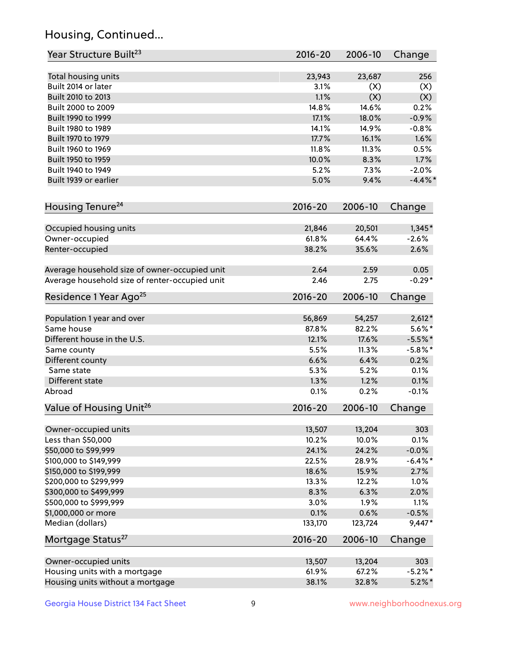## Housing, Continued...

| Year Structure Built <sup>23</sup>             | 2016-20     | 2006-10 | Change     |
|------------------------------------------------|-------------|---------|------------|
| Total housing units                            | 23,943      | 23,687  | 256        |
| Built 2014 or later                            | 3.1%        | (X)     | (X)        |
| Built 2010 to 2013                             | 1.1%        | (X)     | (X)        |
| Built 2000 to 2009                             | 14.8%       | 14.6%   | 0.2%       |
| Built 1990 to 1999                             | 17.1%       | 18.0%   | $-0.9%$    |
| Built 1980 to 1989                             | 14.1%       | 14.9%   | $-0.8%$    |
| Built 1970 to 1979                             | 17.7%       | 16.1%   | 1.6%       |
| Built 1960 to 1969                             | 11.8%       | 11.3%   | 0.5%       |
| Built 1950 to 1959                             | 10.0%       | 8.3%    | 1.7%       |
| Built 1940 to 1949                             | 5.2%        | 7.3%    | $-2.0%$    |
| Built 1939 or earlier                          | 5.0%        | 9.4%    | $-4.4\%$ * |
| Housing Tenure <sup>24</sup>                   | $2016 - 20$ | 2006-10 | Change     |
| Occupied housing units                         | 21,846      | 20,501  | $1,345*$   |
| Owner-occupied                                 | 61.8%       | 64.4%   | $-2.6%$    |
| Renter-occupied                                | 38.2%       | 35.6%   | 2.6%       |
| Average household size of owner-occupied unit  | 2.64        | 2.59    | 0.05       |
| Average household size of renter-occupied unit | 2.46        | 2.75    | $-0.29*$   |
| Residence 1 Year Ago <sup>25</sup>             | $2016 - 20$ | 2006-10 | Change     |
| Population 1 year and over                     | 56,869      | 54,257  | $2,612*$   |
| Same house                                     | 87.8%       | 82.2%   | $5.6\%*$   |
| Different house in the U.S.                    | 12.1%       | 17.6%   | $-5.5%$ *  |
| Same county                                    | 5.5%        | 11.3%   | $-5.8\%$ * |
| Different county                               | 6.6%        | 6.4%    | 0.2%       |
| Same state                                     | 5.3%        | 5.2%    | 0.1%       |
| Different state                                | 1.3%        | 1.2%    | 0.1%       |
| Abroad                                         | 0.1%        | 0.2%    | $-0.1%$    |
| Value of Housing Unit <sup>26</sup>            | $2016 - 20$ | 2006-10 | Change     |
| Owner-occupied units                           | 13,507      | 13,204  | 303        |
| Less than \$50,000                             | 10.2%       | 10.0%   | 0.1%       |
| \$50,000 to \$99,999                           | 24.1%       | 24.2%   | $-0.0%$    |
| \$100,000 to \$149,999                         | 22.5%       | 28.9%   | $-6.4\%$ * |
| \$150,000 to \$199,999                         | 18.6%       | 15.9%   | 2.7%       |
| \$200,000 to \$299,999                         | 13.3%       | 12.2%   | 1.0%       |
| \$300,000 to \$499,999                         | 8.3%        | 6.3%    | 2.0%       |
| \$500,000 to \$999,999                         | 3.0%        | 1.9%    | 1.1%       |
| \$1,000,000 or more                            | 0.1%        | 0.6%    | $-0.5%$    |
| Median (dollars)                               | 133,170     | 123,724 | $9,447*$   |
| Mortgage Status <sup>27</sup>                  | $2016 - 20$ | 2006-10 | Change     |
| Owner-occupied units                           | 13,507      | 13,204  | 303        |
| Housing units with a mortgage                  | 61.9%       | 67.2%   | $-5.2\%$ * |
| Housing units without a mortgage               | 38.1%       | 32.8%   | $5.2\%$ *  |
|                                                |             |         |            |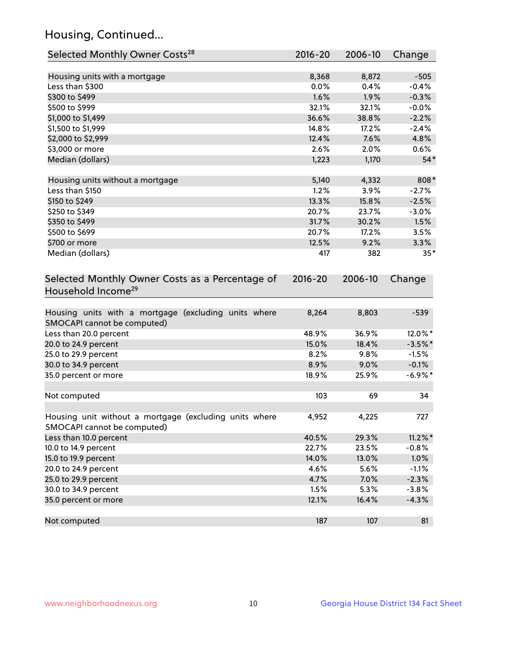## Housing, Continued...

| Selected Monthly Owner Costs <sup>28</sup>                                            | 2016-20 | 2006-10 | Change     |
|---------------------------------------------------------------------------------------|---------|---------|------------|
| Housing units with a mortgage                                                         | 8,368   | 8,872   | $-505$     |
| Less than \$300                                                                       | 0.0%    | 0.4%    | $-0.4%$    |
| \$300 to \$499                                                                        | 1.6%    | 1.9%    | $-0.3%$    |
| \$500 to \$999                                                                        | 32.1%   | 32.1%   | $-0.0%$    |
| \$1,000 to \$1,499                                                                    | 36.6%   | 38.8%   | $-2.2%$    |
| \$1,500 to \$1,999                                                                    | 14.8%   | 17.2%   | $-2.4%$    |
| \$2,000 to \$2,999                                                                    | 12.4%   | 7.6%    | 4.8%       |
| \$3,000 or more                                                                       | 2.6%    | 2.0%    | 0.6%       |
| Median (dollars)                                                                      | 1,223   | 1,170   | $54*$      |
| Housing units without a mortgage                                                      | 5,140   | 4,332   | 808*       |
| Less than \$150                                                                       | 1.2%    | 3.9%    | $-2.7%$    |
| \$150 to \$249                                                                        | 13.3%   | 15.8%   | $-2.5%$    |
| \$250 to \$349                                                                        | 20.7%   | 23.7%   | $-3.0%$    |
| \$350 to \$499                                                                        | 31.7%   | 30.2%   | 1.5%       |
| \$500 to \$699                                                                        | 20.7%   | 17.2%   | 3.5%       |
| \$700 or more                                                                         | 12.5%   | 9.2%    | 3.3%       |
| Median (dollars)                                                                      | 417     | 382     | $35*$      |
| Household Income <sup>29</sup>                                                        |         |         |            |
| Housing units with a mortgage (excluding units where<br>SMOCAPI cannot be computed)   | 8,264   | 8,803   | $-539$     |
| Less than 20.0 percent                                                                | 48.9%   | 36.9%   | 12.0%*     |
| 20.0 to 24.9 percent                                                                  | 15.0%   | 18.4%   | $-3.5\%$ * |
| 25.0 to 29.9 percent                                                                  | 8.2%    | 9.8%    | $-1.5%$    |
| 30.0 to 34.9 percent                                                                  | 8.9%    | 9.0%    | $-0.1%$    |
| 35.0 percent or more                                                                  | 18.9%   | 25.9%   | $-6.9\%$ * |
| Not computed                                                                          | 103     | 69      | 34         |
| Housing unit without a mortgage (excluding units where<br>SMOCAPI cannot be computed) | 4,952   | 4,225   | 727        |
| Less than 10.0 percent                                                                | 40.5%   | 29.3%   | $11.2\%$ * |
| 10.0 to 14.9 percent                                                                  | 22.7%   | 23.5%   | $-0.8%$    |
| 15.0 to 19.9 percent                                                                  | 14.0%   | 13.0%   | 1.0%       |
| 20.0 to 24.9 percent                                                                  | 4.6%    | 5.6%    | $-1.1%$    |
| 25.0 to 29.9 percent                                                                  | 4.7%    | 7.0%    | $-2.3%$    |
| 30.0 to 34.9 percent                                                                  | 1.5%    | 5.3%    | $-3.8%$    |
| 35.0 percent or more                                                                  | 12.1%   | 16.4%   | $-4.3%$    |
| Not computed                                                                          | 187     | 107     | 81         |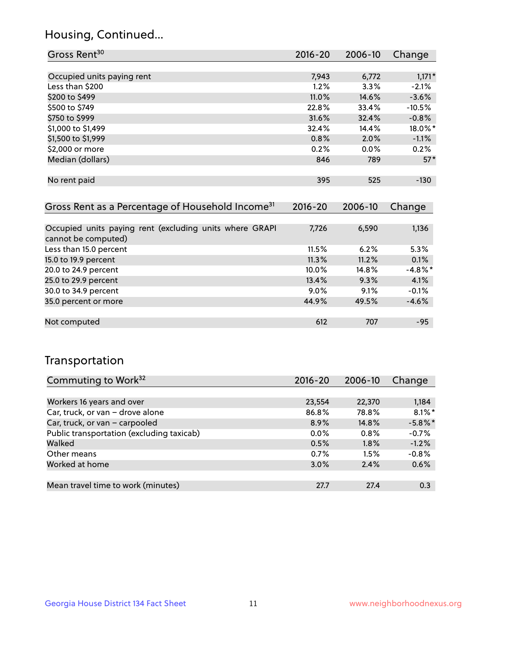## Housing, Continued...

| Gross Rent <sup>30</sup>                                     | 2016-20     | 2006-10 | Change   |
|--------------------------------------------------------------|-------------|---------|----------|
|                                                              |             |         |          |
| Occupied units paying rent                                   | 7,943       | 6,772   | $1,171*$ |
| Less than \$200                                              | $1.2\%$     | $3.3\%$ | $-2.1%$  |
| \$200 to \$499                                               | 11.0%       | 14.6%   | $-3.6%$  |
| \$500 to \$749                                               | 22.8%       | 33.4%   | $-10.5%$ |
| \$750 to \$999                                               | 31.6%       | 32.4%   | $-0.8%$  |
| \$1,000 to \$1,499                                           | 32.4%       | 14.4%   | 18.0%*   |
| \$1,500 to \$1,999                                           | 0.8%        | 2.0%    | $-1.1%$  |
| \$2,000 or more                                              | 0.2%        | $0.0\%$ | 0.2%     |
| Median (dollars)                                             | 846         | 789     | $57*$    |
|                                                              |             |         |          |
| No rent paid                                                 | 395         | 525     | $-130$   |
|                                                              |             |         |          |
| Gross Rent as a Percentage of Household Income <sup>31</sup> | $2016 - 20$ | 2006-10 | Change   |

| Occupied units paying rent (excluding units where GRAPI | 7.726    | 6,590 | 1,136      |
|---------------------------------------------------------|----------|-------|------------|
| cannot be computed)                                     |          |       |            |
| Less than 15.0 percent                                  | 11.5%    | 6.2%  | 5.3%       |
| 15.0 to 19.9 percent                                    | 11.3%    | 11.2% | 0.1%       |
| 20.0 to 24.9 percent                                    | $10.0\%$ | 14.8% | $-4.8\%$ * |
| 25.0 to 29.9 percent                                    | 13.4%    | 9.3%  | 4.1%       |
| 30.0 to 34.9 percent                                    | $9.0\%$  | 9.1%  | $-0.1%$    |
| 35.0 percent or more                                    | 44.9%    | 49.5% | $-4.6%$    |
|                                                         |          |       |            |
| Not computed                                            | 612      | 707   | $-95$      |

## Transportation

| Commuting to Work <sup>32</sup>           | 2016-20 | 2006-10  | Change     |
|-------------------------------------------|---------|----------|------------|
|                                           |         |          |            |
| Workers 16 years and over                 | 23,554  | 22,370   | 1,184      |
| Car, truck, or van - drove alone          | 86.8%   | 78.8%    | $8.1\%$ *  |
| Car, truck, or van - carpooled            | $8.9\%$ | $14.8\%$ | $-5.8\%$ * |
| Public transportation (excluding taxicab) | $0.0\%$ | $0.8\%$  | $-0.7%$    |
| Walked                                    | 0.5%    | 1.8%     | $-1.2%$    |
| Other means                               | 0.7%    | 1.5%     | $-0.8%$    |
| Worked at home                            | 3.0%    | 2.4%     | 0.6%       |
|                                           |         |          |            |
| Mean travel time to work (minutes)        | 27.7    | 27.4     | 0.3        |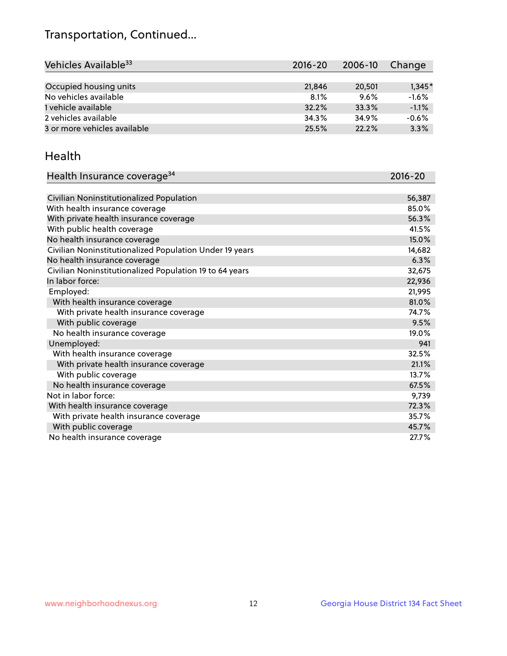## Transportation, Continued...

| Vehicles Available <sup>33</sup> | 2016-20 | 2006-10 | Change   |
|----------------------------------|---------|---------|----------|
|                                  |         |         |          |
| Occupied housing units           | 21,846  | 20,501  | $1,345*$ |
| No vehicles available            | 8.1%    | 9.6%    | $-1.6%$  |
| 1 vehicle available              | 32.2%   | 33.3%   | $-1.1%$  |
| 2 vehicles available             | 34.3%   | 34.9%   | $-0.6%$  |
| 3 or more vehicles available     | 25.5%   | 22.2%   | 3.3%     |

#### Health

| Health Insurance coverage <sup>34</sup>                 | 2016-20 |
|---------------------------------------------------------|---------|
|                                                         |         |
| Civilian Noninstitutionalized Population                | 56,387  |
| With health insurance coverage                          | 85.0%   |
| With private health insurance coverage                  | 56.3%   |
| With public health coverage                             | 41.5%   |
| No health insurance coverage                            | 15.0%   |
| Civilian Noninstitutionalized Population Under 19 years | 14,682  |
| No health insurance coverage                            | 6.3%    |
| Civilian Noninstitutionalized Population 19 to 64 years | 32,675  |
| In labor force:                                         | 22,936  |
| Employed:                                               | 21,995  |
| With health insurance coverage                          | 81.0%   |
| With private health insurance coverage                  | 74.7%   |
| With public coverage                                    | 9.5%    |
| No health insurance coverage                            | 19.0%   |
| Unemployed:                                             | 941     |
| With health insurance coverage                          | 32.5%   |
| With private health insurance coverage                  | 21.1%   |
| With public coverage                                    | 13.7%   |
| No health insurance coverage                            | 67.5%   |
| Not in labor force:                                     | 9,739   |
| With health insurance coverage                          | 72.3%   |
| With private health insurance coverage                  | 35.7%   |
| With public coverage                                    | 45.7%   |
| No health insurance coverage                            | 27.7%   |